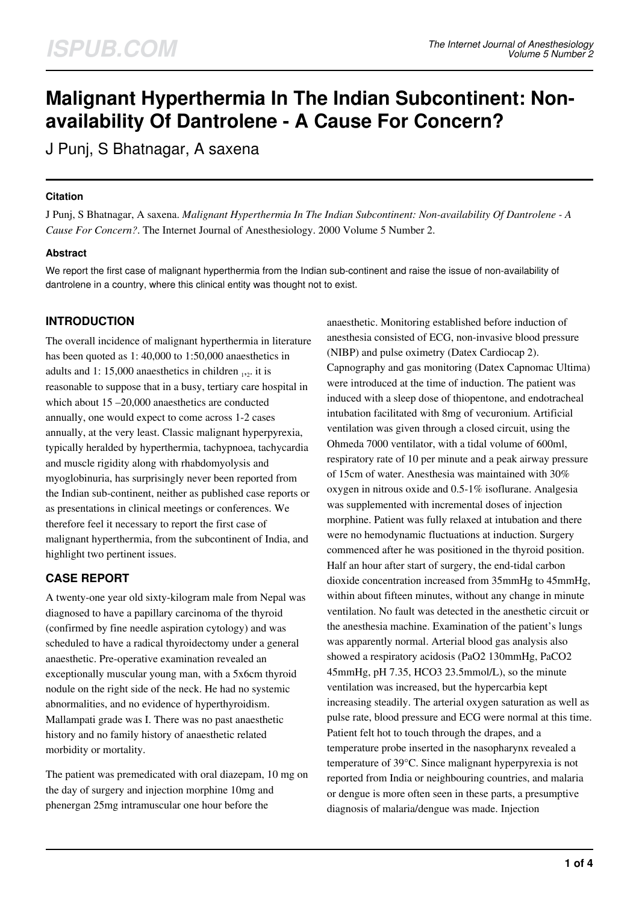# **Malignant Hyperthermia In The Indian Subcontinent: Nonavailability Of Dantrolene - A Cause For Concern?**

J Punj, S Bhatnagar, A saxena

### **Citation**

J Punj, S Bhatnagar, A saxena. *Malignant Hyperthermia In The Indian Subcontinent: Non-availability Of Dantrolene - A Cause For Concern?*. The Internet Journal of Anesthesiology. 2000 Volume 5 Number 2.

### **Abstract**

We report the first case of malignant hyperthermia from the Indian sub-continent and raise the issue of non-availability of dantrolene in a country, where this clinical entity was thought not to exist.

## **INTRODUCTION**

The overall incidence of malignant hyperthermia in literature has been quoted as 1: 40,000 to 1:50,000 anaesthetics in adults and 1: 15,000 anaesthetics in children  $_{12}$  it is reasonable to suppose that in a busy, tertiary care hospital in which about 15 –20,000 anaesthetics are conducted annually, one would expect to come across 1-2 cases annually, at the very least. Classic malignant hyperpyrexia, typically heralded by hyperthermia, tachypnoea, tachycardia and muscle rigidity along with rhabdomyolysis and myoglobinuria, has surprisingly never been reported from the Indian sub-continent, neither as published case reports or as presentations in clinical meetings or conferences. We therefore feel it necessary to report the first case of malignant hyperthermia, from the subcontinent of India, and highlight two pertinent issues.

# **CASE REPORT**

A twenty-one year old sixty-kilogram male from Nepal was diagnosed to have a papillary carcinoma of the thyroid (confirmed by fine needle aspiration cytology) and was scheduled to have a radical thyroidectomy under a general anaesthetic. Pre-operative examination revealed an exceptionally muscular young man, with a 5x6cm thyroid nodule on the right side of the neck. He had no systemic abnormalities, and no evidence of hyperthyroidism. Mallampati grade was I. There was no past anaesthetic history and no family history of anaesthetic related morbidity or mortality.

The patient was premedicated with oral diazepam, 10 mg on the day of surgery and injection morphine 10mg and phenergan 25mg intramuscular one hour before the

anaesthetic. Monitoring established before induction of anesthesia consisted of ECG, non-invasive blood pressure (NIBP) and pulse oximetry (Datex Cardiocap 2). Capnography and gas monitoring (Datex Capnomac Ultima) were introduced at the time of induction. The patient was induced with a sleep dose of thiopentone, and endotracheal intubation facilitated with 8mg of vecuronium. Artificial ventilation was given through a closed circuit, using the Ohmeda 7000 ventilator, with a tidal volume of 600ml, respiratory rate of 10 per minute and a peak airway pressure of 15cm of water. Anesthesia was maintained with 30% oxygen in nitrous oxide and 0.5-1% isoflurane. Analgesia was supplemented with incremental doses of injection morphine. Patient was fully relaxed at intubation and there were no hemodynamic fluctuations at induction. Surgery commenced after he was positioned in the thyroid position. Half an hour after start of surgery, the end-tidal carbon dioxide concentration increased from 35mmHg to 45mmHg, within about fifteen minutes, without any change in minute ventilation. No fault was detected in the anesthetic circuit or the anesthesia machine. Examination of the patient's lungs was apparently normal. Arterial blood gas analysis also showed a respiratory acidosis (PaO2 130mmHg, PaCO2 45mmHg, pH 7.35, HCO3 23.5mmol/L), so the minute ventilation was increased, but the hypercarbia kept increasing steadily. The arterial oxygen saturation as well as pulse rate, blood pressure and ECG were normal at this time. Patient felt hot to touch through the drapes, and a temperature probe inserted in the nasopharynx revealed a temperature of 39°C. Since malignant hyperpyrexia is not reported from India or neighbouring countries, and malaria or dengue is more often seen in these parts, a presumptive diagnosis of malaria/dengue was made. Injection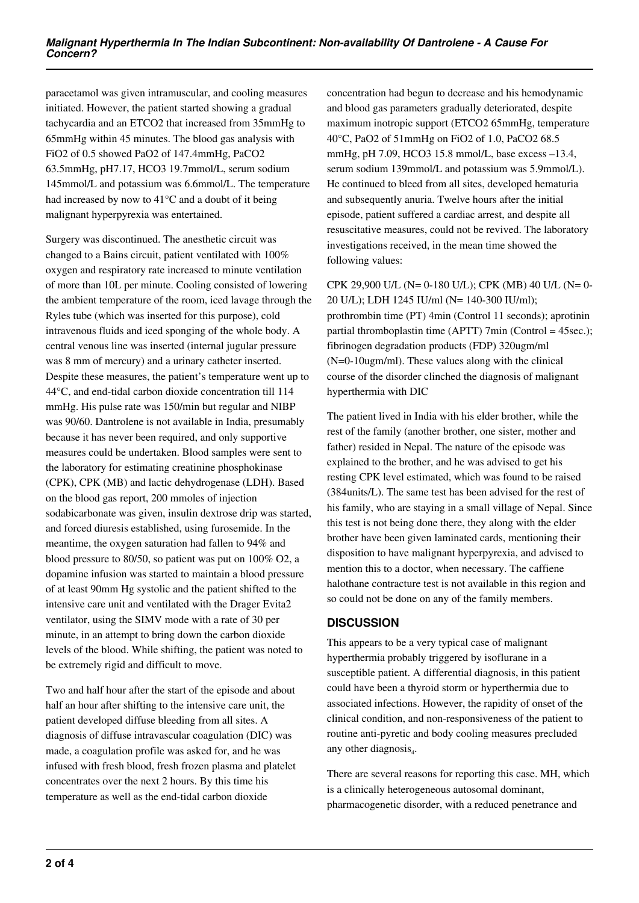paracetamol was given intramuscular, and cooling measures initiated. However, the patient started showing a gradual tachycardia and an ETCO2 that increased from 35mmHg to 65mmHg within 45 minutes. The blood gas analysis with FiO2 of 0.5 showed PaO2 of 147.4mmHg, PaCO2 63.5mmHg, pH7.17, HCO3 19.7mmol/L, serum sodium 145mmol/L and potassium was 6.6mmol/L. The temperature had increased by now to 41°C and a doubt of it being malignant hyperpyrexia was entertained.

Surgery was discontinued. The anesthetic circuit was changed to a Bains circuit, patient ventilated with 100% oxygen and respiratory rate increased to minute ventilation of more than 10L per minute. Cooling consisted of lowering the ambient temperature of the room, iced lavage through the Ryles tube (which was inserted for this purpose), cold intravenous fluids and iced sponging of the whole body. A central venous line was inserted (internal jugular pressure was 8 mm of mercury) and a urinary catheter inserted. Despite these measures, the patient's temperature went up to 44°C, and end-tidal carbon dioxide concentration till 114 mmHg. His pulse rate was 150/min but regular and NIBP was 90/60. Dantrolene is not available in India, presumably because it has never been required, and only supportive measures could be undertaken. Blood samples were sent to the laboratory for estimating creatinine phosphokinase (CPK), CPK (MB) and lactic dehydrogenase (LDH). Based on the blood gas report, 200 mmoles of injection sodabicarbonate was given, insulin dextrose drip was started, and forced diuresis established, using furosemide. In the meantime, the oxygen saturation had fallen to 94% and blood pressure to 80/50, so patient was put on 100% O2, a dopamine infusion was started to maintain a blood pressure of at least 90mm Hg systolic and the patient shifted to the intensive care unit and ventilated with the Drager Evita2 ventilator, using the SIMV mode with a rate of 30 per minute, in an attempt to bring down the carbon dioxide levels of the blood. While shifting, the patient was noted to be extremely rigid and difficult to move.

Two and half hour after the start of the episode and about half an hour after shifting to the intensive care unit, the patient developed diffuse bleeding from all sites. A diagnosis of diffuse intravascular coagulation (DIC) was made, a coagulation profile was asked for, and he was infused with fresh blood, fresh frozen plasma and platelet concentrates over the next 2 hours. By this time his temperature as well as the end-tidal carbon dioxide

concentration had begun to decrease and his hemodynamic and blood gas parameters gradually deteriorated, despite maximum inotropic support (ETCO2 65mmHg, temperature 40°C, PaO2 of 51mmHg on FiO2 of 1.0, PaCO2 68.5 mmHg, pH 7.09, HCO3 15.8 mmol/L, base excess –13.4, serum sodium 139mmol/L and potassium was 5.9mmol/L). He continued to bleed from all sites, developed hematuria and subsequently anuria. Twelve hours after the initial episode, patient suffered a cardiac arrest, and despite all resuscitative measures, could not be revived. The laboratory investigations received, in the mean time showed the following values:

CPK 29,900 U/L (N= 0-180 U/L); CPK (MB) 40 U/L (N= 0- 20 U/L); LDH 1245 IU/ml (N= 140-300 IU/ml); prothrombin time (PT) 4min (Control 11 seconds); aprotinin partial thromboplastin time (APTT) 7min (Control = 45sec.); fibrinogen degradation products (FDP) 320ugm/ml (N=0-10ugm/ml). These values along with the clinical course of the disorder clinched the diagnosis of malignant hyperthermia with DIC

The patient lived in India with his elder brother, while the rest of the family (another brother, one sister, mother and father) resided in Nepal. The nature of the episode was explained to the brother, and he was advised to get his resting CPK level estimated, which was found to be raised (384units/L). The same test has been advised for the rest of his family, who are staying in a small village of Nepal. Since this test is not being done there, they along with the elder brother have been given laminated cards, mentioning their disposition to have malignant hyperpyrexia, and advised to mention this to a doctor, when necessary. The caffiene halothane contracture test is not available in this region and so could not be done on any of the family members.

## **DISCUSSION**

This appears to be a very typical case of malignant hyperthermia probably triggered by isoflurane in a susceptible patient. A differential diagnosis, in this patient could have been a thyroid storm or hyperthermia due to associated infections. However, the rapidity of onset of the clinical condition, and non-responsiveness of the patient to routine anti-pyretic and body cooling measures precluded any other diagnosis $_4$ .

There are several reasons for reporting this case. MH, which is a clinically heterogeneous autosomal dominant, pharmacogenetic disorder, with a reduced penetrance and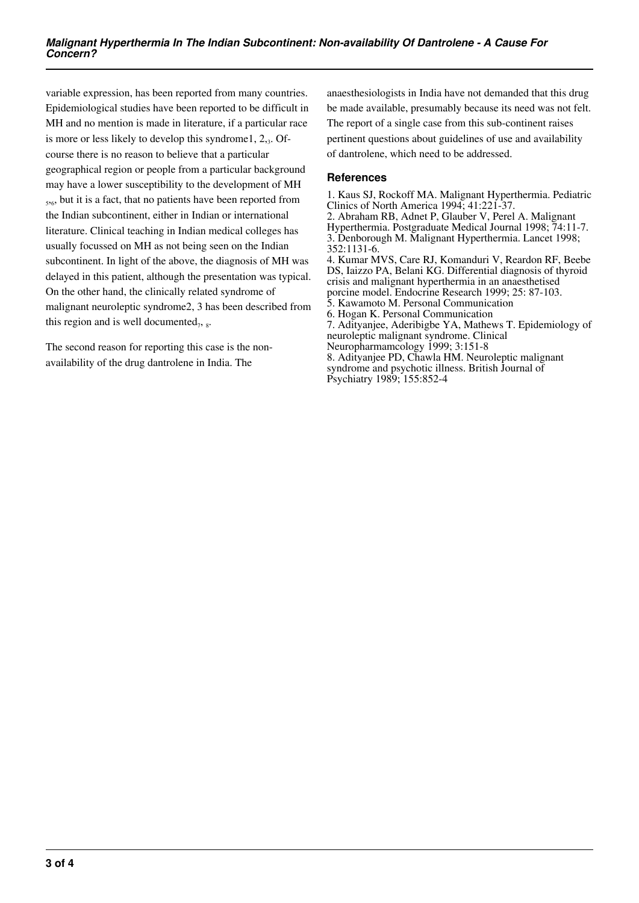variable expression, has been reported from many countries. Epidemiological studies have been reported to be difficult in MH and no mention is made in literature, if a particular race is more or less likely to develop this syndrome1, 2,3. Ofcourse there is no reason to believe that a particular geographical region or people from a particular background may have a lower susceptibility to the development of MH 5 ,6 , but it is a fact, that no patients have been reported from the Indian subcontinent, either in Indian or international literature. Clinical teaching in Indian medical colleges has usually focussed on MH as not being seen on the Indian subcontinent. In light of the above, the diagnosis of MH was delayed in this patient, although the presentation was typical. On the other hand, the clinically related syndrome of malignant neuroleptic syndrome2, 3 has been described from this region and is well documented $_7$ ,  $_8$ .

The second reason for reporting this case is the nonavailability of the drug dantrolene in India. The

anaesthesiologists in India have not demanded that this drug be made available, presumably because its need was not felt. The report of a single case from this sub-continent raises pertinent questions about guidelines of use and availability of dantrolene, which need to be addressed.

### **References**

1. Kaus SJ, Rockoff MA. Malignant Hyperthermia. Pediatric Clinics of North America 1994; 41:221-37. 2. Abraham RB, Adnet P, Glauber V, Perel A. Malignant Hyperthermia. Postgraduate Medical Journal 1998; 74:11-7. 3. Denborough M. Malignant Hyperthermia. Lancet 1998; 352:1131-6. 4. Kumar MVS, Care RJ, Komanduri V, Reardon RF, Beebe DS, Iaizzo PA, Belani KG. Differential diagnosis of thyroid crisis and malignant hyperthermia in an anaesthetised porcine model. Endocrine Research 1999; 25: 87-103. 5. Kawamoto M. Personal Communication 6. Hogan K. Personal Communication 7. Adityanjee, Aderibigbe YA, Mathews T. Epidemiology of neuroleptic malignant syndrome. Clinical Neuropharmamcology 1999; 3:151-8 8. Adityanjee PD, Chawla HM. Neuroleptic malignant syndrome and psychotic illness. British Journal of Psychiatry 1989; 155:852-4